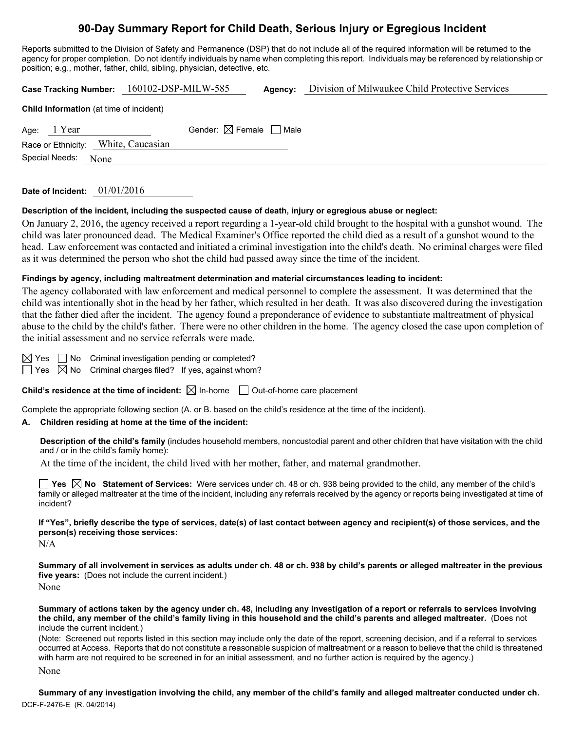# **90-Day Summary Report for Child Death, Serious Injury or Egregious Incident**

Reports submitted to the Division of Safety and Permanence (DSP) that do not include all of the required information will be returned to the agency for proper completion. Do not identify individuals by name when completing this report. Individuals may be referenced by relationship or position; e.g., mother, father, child, sibling, physician, detective, etc.

| <b>Case Tracking Number:</b>                   | 160102-DSP-MILW-585                    | Agency: | Division of Milwaukee Child Protective Services |  |  |  |  |
|------------------------------------------------|----------------------------------------|---------|-------------------------------------------------|--|--|--|--|
| <b>Child Information</b> (at time of incident) |                                        |         |                                                 |  |  |  |  |
| Age: $1$ Year                                  | Gender: $\boxtimes$ Female $\Box$ Male |         |                                                 |  |  |  |  |
| Race or Ethnicity: White, Caucasian            |                                        |         |                                                 |  |  |  |  |
| Special Needs:<br>None                         |                                        |         |                                                 |  |  |  |  |
|                                                |                                        |         |                                                 |  |  |  |  |

**Date of Incident:** 01/01/2016

**Description of the incident, including the suspected cause of death, injury or egregious abuse or neglect:** 

On January 2, 2016, the agency received a report regarding a 1-year-old child brought to the hospital with a gunshot wound. The child was later pronounced dead. The Medical Examiner's Office reported the child died as a result of a gunshot wound to the head. Law enforcement was contacted and initiated a criminal investigation into the child's death. No criminal charges were filed as it was determined the person who shot the child had passed away since the time of the incident.

#### **Findings by agency, including maltreatment determination and material circumstances leading to incident:**

The agency collaborated with law enforcement and medical personnel to complete the assessment. It was determined that the child was intentionally shot in the head by her father, which resulted in her death. It was also discovered during the investigation that the father died after the incident. The agency found a preponderance of evidence to substantiate maltreatment of physical abuse to the child by the child's father. There were no other children in the home. The agency closed the case upon completion of the initial assessment and no service referrals were made.

 $\boxtimes$  Yes  $\Box$  No Criminal investigation pending or completed?

 $\Box$  Yes  $\boxtimes$  No Criminal charges filed? If yes, against whom?

**Child's residence at the time of incident:**  $\boxtimes$  In-home  $\Box$  Out-of-home care placement

Complete the appropriate following section (A. or B. based on the child's residence at the time of the incident).

#### **A. Children residing at home at the time of the incident:**

**Description of the child's family** (includes household members, noncustodial parent and other children that have visitation with the child and / or in the child's family home):

At the time of the incident, the child lived with her mother, father, and maternal grandmother.

**Yes**  $\boxtimes$  **No** Statement of Services: Were services under ch. 48 or ch. 938 being provided to the child, any member of the child's family or alleged maltreater at the time of the incident, including any referrals received by the agency or reports being investigated at time of incident?

**If "Yes", briefly describe the type of services, date(s) of last contact between agency and recipient(s) of those services, and the person(s) receiving those services:** 

N/A

**Summary of all involvement in services as adults under ch. 48 or ch. 938 by child's parents or alleged maltreater in the previous five years:** (Does not include the current incident.)

None

**Summary of actions taken by the agency under ch. 48, including any investigation of a report or referrals to services involving the child, any member of the child's family living in this household and the child's parents and alleged maltreater.** (Does not include the current incident.)

(Note: Screened out reports listed in this section may include only the date of the report, screening decision, and if a referral to services occurred at Access. Reports that do not constitute a reasonable suspicion of maltreatment or a reason to believe that the child is threatened with harm are not required to be screened in for an initial assessment, and no further action is required by the agency.)

None

DCF-F-2476-E (R. 04/2014) **Summary of any investigation involving the child, any member of the child's family and alleged maltreater conducted under ch.**